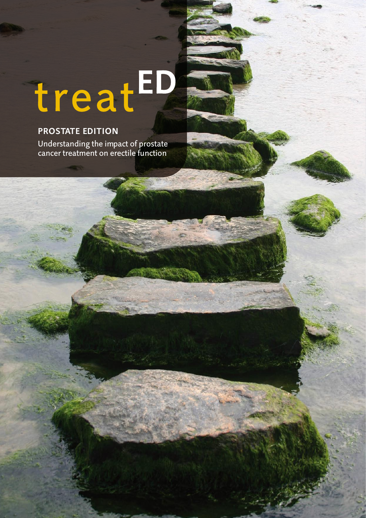# treatED

# **PROSTATE EDITION**

Understanding the impact of prostate<br>cancer treatment on erectile function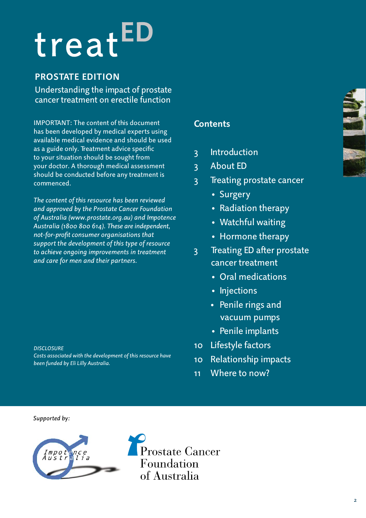# treat

# **Prostate edition**

Understanding the impact of prostate cancer treatment on erectile function

IMPORTANT: The content of this document has been developed by medical experts using available medical evidence and should be used as a guide only. Treatment advice specific to your situation should be sought from your doctor. A thorough medical assessment should be conducted before any treatment is commenced.

*The content of this resource has been reviewed and approved by the Prostate Cancer Foundation of Australia (www.prostate.org.au) and Impotence Australia (1800 800 614). These are independent, not-for-profit consumer organisations that support the development of this type of resource to achieve ongoing improvements in treatment and care for men and their partners.*

*Disclosure*

*Costs associated with the development of this resource have been funded by Eli Lilly Australia.* 

# **Contents**

- 3 Introduction
- 3 About ED
- 3 Treating prostate cancer
	- Surgery
	- Radiation therapy
	- Watchful waiting
	- Hormone therapy
- 3 Treating ED after prostate cancer treatment
	- Oral medications
	- Injections
	- Penile rings and vacuum pumps
	- Penile implants
- 10 Lifestyle factors
- 10 Relationship impacts
- 11 Where to now?

*Supported by:* 



Prostate Cancer Foundation of Australia

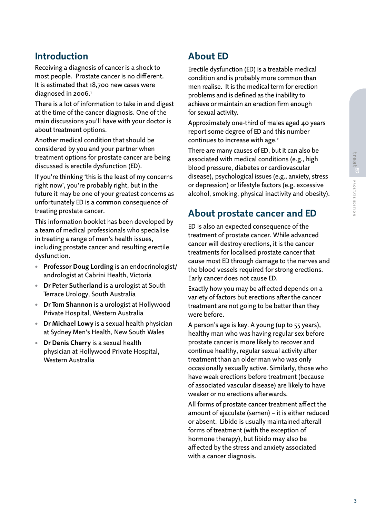# **Introduction**

Receiving a diagnosis of cancer is a shock to most people. Prostate cancer is no different. It is estimated that 18,700 new cases were diagnosed in 2006.<sup>1</sup>

There is a lot of information to take in and digest at the time of the cancer diagnosis. One of the main discussions you'll have with your doctor is about treatment options.

Another medical condition that should be considered by you and your partner when treatment options for prostate cancer are being discussed is erectile dysfunction (ED).

If you're thinking 'this is the least of my concerns right now', you're probably right, but in the future it may be one of your greatest concerns as unfortunately ED is a common consequence of treating prostate cancer.

This information booklet has been developed by a team of medical professionals who specialise in treating a range of men's health issues, including prostate cancer and resulting erectile dysfunction.

- **• Professor Doug Lording** is an endocrinologist/ andrologist at Cabrini Health, Victoria
- **Dr Peter Sutherland** is a urologist at South Terrace Urology, South Australia
- **Dr Tom Shannon** is a urologist at Hollywood Private Hospital, Western Australia
- **Dr Michael Lowy** is a sexual health physician at Sydney Men's Health, New South Wales
- **Dr Denis Cherry** is a sexual health physician at Hollywood Private Hospital, Western Australia

# **About ED**

Erectile dysfunction (ED) is a treatable medical condition and is probably more common than men realise. It is the medical term for erection problems and is defined as the inability to achieve or maintain an erection firm enough for sexual activity.

Approximately one-third of males aged 40 years report some degree of ED and this number continues to increase with age.<sup>2</sup>

There are many causes of ED, but it can also be associated with medical conditions (e.g., high blood pressure, diabetes or cardiovascular disease), psychological issues (e.g., anxiety, stress or depression) or lifestyle factors (e.g. excessive alcohol, smoking, physical inactivity and obesity).

# **About prostate cancer and ED**

ED is also an expected consequence of the treatment of prostate cancer. While advanced cancer will destroy erections, it is the cancer treatments for localised prostate cancer that cause most ED through damage to the nerves and the blood vessels required for strong erections. Early cancer does not cause ED.

Exactly how you may be affected depends on a variety of factors but erections after the cancer treatment are not going to be better than they were before.

A person's age is key. A young (up to 55 years), healthy man who was having regular sex before prostate cancer is more likely to recover and continue healthy, regular sexual activity after treatment than an older man who was only occasionally sexually active. Similarly, those who have weak erections before treatment (because of associated vascular disease) are likely to have weaker or no erections afterwards.

All forms of prostate cancer treatment affect the amount of ejaculate (semen) – it is either reduced or absent. Libido is usually maintained afterall forms of treatment (with the exception of hormone therapy), but libido may also be affected by the stress and anxiety associated with a cancer diagnosis.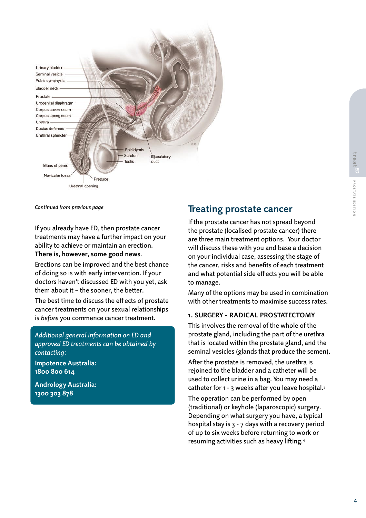

*Continued from previous page*

If you already have ED, then prostate cancer treatments may have a further impact on your ability to achieve or maintain an erection.

**There is, however, some good news**.

Erections can be improved and the best chance of doing so is with early intervention. If your doctors haven't discussed ED with you yet, ask them about it – the sooner, the better.

The best time to discuss the effects of prostate cancer treatments on your sexual relationships is *before* you commence cancer treatment.

*Additional general information on ED and approved ED treatments can be obtained by contacting:*

**Impotence Australia: 1800 800 614**

**Andrology Australia: 1300 303 878**

# **Treating prostate cancer**

If the prostate cancer has not spread beyond the prostate (localised prostate cancer) there are three main treatment options. Your doctor will discuss these with you and base a decision on your individual case, assessing the stage of the cancer, risks and benefits of each treatment and what potential side effects you will be able to manage.

Many of the options may be used in combination with other treatments to maximise success rates.

# **1. Surgery - radical prostatectomy**

This involves the removal of the whole of the prostate gland, including the part of the urethra that is located within the prostate gland, and the seminal vesicles (glands that produce the semen).

After the prostate is removed, the urethra is rejoined to the bladder and a catheter will be used to collect urine in a bag. You may need a catheter for 1 - 3 weeks after you leave hospital.3

The operation can be performed by open (traditional) or keyhole (laparoscopic) surgery. Depending on what surgery you have, a typical hospital stay is 3 - 7 days with a recovery period of up to six weeks before returning to work or resuming activities such as heavy lifting.4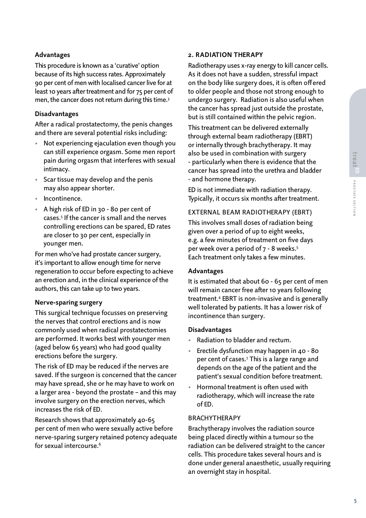# **Advantages**

This procedure is known as a 'curative' option because of its high success rates. Approximately 90 per cent of men with localised cancer live for at least 10 years after treatment and for 75 per cent of men, the cancer does not return during this time.<sup>3</sup>

# **Disadvantages**

After a radical prostatectomy, the penis changes and there are several potential risks including:

- Not experiencing ejaculation even though you can still experience orgasm. Some men report pain during orgasm that interferes with sexual intimacy.
- Scar tissue may develop and the penis may also appear shorter.
- Incontinence.
- A high risk of ED in 30 80 per cent of cases.5 If the cancer is small and the nerves controlling erections can be spared, ED rates are closer to 30 per cent, especially in younger men.

For men who've had prostate cancer surgery, it's important to allow enough time for nerve regeneration to occur before expecting to achieve an erection and, in the clinical experience of the authors, this can take up to two years.

# **Nerve-sparing surgery**

This surgical technique focusses on preserving the nerves that control erections and is now commonly used when radical prostatectomies are performed. It works best with younger men (aged below 65 years) who had good quality erections before the surgery.

The risk of ED may be reduced if the nerves are saved. If the surgeon is concerned that the cancer may have spread, she or he may have to work on a larger area - beyond the prostate – and this may involve surgery on the erection nerves, which increases the risk of ED.

Research shows that approximately 40-65 per cent of men who were sexually active before nerve-sparing surgery retained potency adequate for sexual intercourse.6

### **2. Radiation therapy**

Radiotherapy uses x-ray energy to kill cancer cells. As it does not have a sudden, stressful impact on the body like surgery does, it is often offered to older people and those not strong enough to undergo surgery. Radiation is also useful when the cancer has spread just outside the prostate, but is still contained within the pelvic region.

This treatment can be delivered externally through external beam radiotherapy (EBRT) or internally through brachytherapy. It may also be used in combination with surgery - particularly when there is evidence that the cancer has spread into the urethra and bladder - and hormone therapy.

ED is not immediate with radiation therapy. Typically, it occurs six months after treatment.

# External beam radiotherapy (EBRT)

This involves small doses of radiation being given over a period of up to eight weeks, e.g. a few minutes of treatment on five days per week over a period of 7 - 8 weeks.5 Each treatment only takes a few minutes.

### **Advantages**

It is estimated that about 60 - 65 per cent of men will remain cancer free after 10 years following treatment.4 EBRT is non-invasive and is generally well tolerated by patients. It has a lower risk of incontinence than surgery.

### **Disadvantages**

- Radiation to bladder and rectum.
- Erectile dysfunction may happen in 40 80 per cent of cases.7 This is a large range and depends on the age of the patient and the patient's sexual condition before treatment.
- Hormonal treatment is often used with radiotherapy, which will increase the rate of ED.

### **BRACHYTHERAPY**

Brachytherapy involves the radiation source being placed directly within a tumour so the radiation can be delivered straight to the cancer cells. This procedure takes several hours and is done under general anaesthetic, usually requiring an overnight stay in hospital.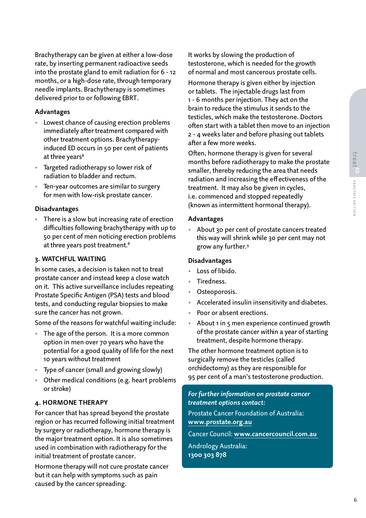Brachytherapy can be given at either a low-dose rate, by inserting permanent radioactive seeds into the prostate gland to emit radiation for 6 - 12 months, or a high-dose rate, through temporary needle implants. Brachytherapy is sometimes delivered prior to or following EBRT.

# **Advantages**

- Lowest chance of causing erection problems immediately after treatment compared with other treatment options. Brachytherapyinduced ED occurs in 50 per cent of patients at three years<sup>8</sup>
- Targeted radiotherapy so lower risk of radiation to bladder and rectum.
- Ten-year outcomes are similar to surgery for men with low-risk prostate cancer.

### **Disadvantages**

There is a slow but increasing rate of erection difficulties following brachytherapy with up to 50 per cent of men noticing erection problems at three years post treatment.<sup>8</sup>

# **3. Watchful waiting**

In some cases, a decision is taken not to treat prostate cancer and instead keep a close watch on it. This active surveillance includes repeating Prostate Specific Antigen (PSA) tests and blood tests, and conducting regular biopsies to make sure the cancer has not grown.

Some of the reasons for watchful waiting include:

- The age of the person. It is a more common option in men over 70 years who have the potential for a good quality of life for the next 10 years without treatment
- Type of cancer (small and growing slowly)
- Other medical conditions (e.g. heart problems or stroke)

### **4. Hormone therapy**

For cancer that has spread beyond the prostate region or has recurred following initial treatment by surgery or radiotherapy, hormone therapy is the major treatment option. It is also sometimes used in combination with radiotherapy for the initial treatment of prostate cancer.

Hormone therapy will not cure prostate cancer but it can help with symptoms such as pain caused by the cancer spreading.

It works by slowing the production of testosterone, which is needed for the growth of normal and most cancerous prostate cells.

Hormone therapy is given either by injection or tablets. The injectable drugs last from 1 - 6 months per injection. They act on the brain to reduce the stimulus it sends to the testicles, which make the testosterone. Doctors often start with a tablet then move to an injection 2 - 4 weeks later and before phasing out tablets after a few more weeks.

Often, hormone therapy is given for several months before radiotherapy to make the prostate smaller, thereby reducing the area that needs radiation and increasing the effectiveness of the treatment. It may also be given in cycles, i.e. commenced and stopped repeatedly (known as intermittent hormonal therapy).

### **Advantages**

• About 30 per cent of prostate cancers treated this way will shrink while 30 per cent may not grow any further.9

### **Disadvantages**

- Loss of libido.
- Tiredness.
- Osteoporosis.
- Accelerated insulin insensitivity and diabetes.
- Poor or absent erections.
- About 1 in 5 men experience continued growth of the prostate cancer within a year of starting treatment, despite hormone therapy.

The other hormone treatment option is to surgically remove the testicles (called orchidectomy) as they are responsible for 95 per cent of a man's testosterone production.

*For further information on prostate cancer treatment options contact:* 

Prostate Cancer Foundation of Australia: **www.prostate.org.au**

Cancer Council: **www.cancercouncil.com.au**

Andrology Australia: **1300 303 878**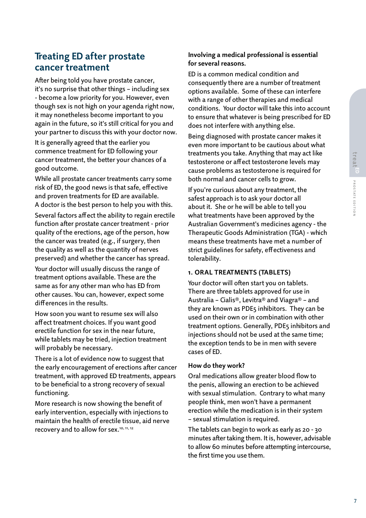# **Treating ED after prostate cancer treatment**

After being told you have prostate cancer, it's no surprise that other things – including sex - become a low priority for you. However, even though sex is not high on your agenda right now, it may nonetheless become important to you again in the future, so it's still critical for you and your partner to discuss this with your doctor now. It is generally agreed that the earlier you

commence treatment for ED following your cancer treatment, the better your chances of a good outcome.

While all prostate cancer treatments carry some risk of ED, the good news is that safe, effective and proven treatments for ED are available. A doctor is the best person to help you with this.

Several factors affect the ability to regain erectile function after prostate cancer treatment - prior quality of the erections, age of the person, how the cancer was treated (e.g., if surgery, then the quality as well as the quantity of nerves preserved) and whether the cancer has spread.

Your doctor will usually discuss the range of treatment options available. These are the same as for any other man who has ED from other causes. You can, however, expect some differences in the results.

How soon you want to resume sex will also affect treatment choices. If you want good erectile function for sex in the near future, while tablets may be tried, injection treatment will probably be necessary.

There is a lot of evidence now to suggest that the early encouragement of erections after cancer treatment, with approved ED treatments, appears to be beneficial to a strong recovery of sexual functioning.

More research is now showing the benefit of early intervention, especially with injections to maintain the health of erectile tissue, aid nerve recovery and to allow for sex.<sup>10, 11, 12</sup>

# **Involving a medical professional is essential for several reasons.**

ED is a common medical condition and consequently there are a number of treatment options available. Some of these can interfere with a range of other therapies and medical conditions. Your doctor will take this into account to ensure that whatever is being prescribed for ED does not interfere with anything else.

Being diagnosed with prostate cancer makes it even more important to be cautious about what treatments you take. Anything that may act like testosterone or affect testosterone levels may cause problems as testosterone is required for both normal and cancer cells to grow.

If you're curious about any treatment, the safest approach is to ask your doctor all about it. She or he will be able to tell you what treatments have been approved by the Australian Government's medicines agency - the Therapeutic Goods Administration (TGA) - which means these treatments have met a number of strict guidelines for safety, effectiveness and tolerability.

# **1. Oral treatments (tablets)**

Your doctor will often start you on tablets. There are three tablets approved for use in Australia – Cialis®, Levitra® and Viagra® – and they are known as PDE5 inhibitors. They can be used on their own or in combination with other treatment options. Generally, PDE5 inhibitors and injections should not be used at the same time; the exception tends to be in men with severe cases of ED.

### **How do they work?**

Oral medications allow greater blood flow to the penis, allowing an erection to be achieved with sexual stimulation. Contrary to what many people think, men won't have a permanent erection while the medication is in their system – sexual stimulation is required.

The tablets can begin to work as early as 20 - 30 minutes after taking them. It is, however, advisable to allow 60 minutes before attempting intercourse, the first time you use them.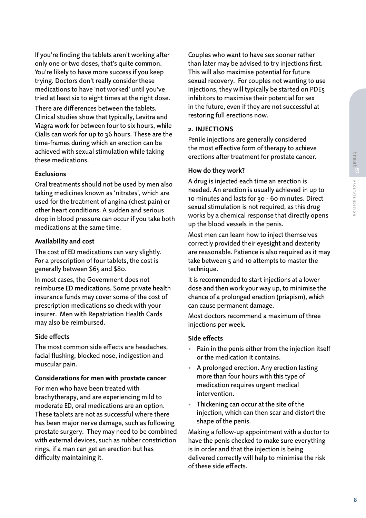If you're finding the tablets aren't working after only one or two doses, that's quite common. You're likely to have more success if you keep trying. Doctors don't really consider these medications to have 'not worked' until you've tried at least six to eight times at the right dose. There are differences between the tablets. Clinical studies show that typically, Levitra and Viagra work for between four to six hours, while Cialis can work for up to 36 hours. These are the time-frames during which an erection can be achieved with sexual stimulation while taking these medications.

# **Exclusions**

Oral treatments should not be used by men also taking medicines known as 'nitrates', which are used for the treatment of angina (chest pain) or other heart conditions. A sudden and serious drop in blood pressure can occur if you take both medications at the same time.

# **Availability and cost**

The cost of ED medications can vary slightly. For a prescription of four tablets, the cost is generally between \$65 and \$80.

In most cases, the Government does not reimburse ED medications. Some private health insurance funds may cover some of the cost of prescription medications so check with your insurer. Men with Repatriation Health Cards may also be reimbursed.

# **Side effects**

The most common side effects are headaches, facial flushing, blocked nose, indigestion and muscular pain.

# **Considerations for men with prostate cancer**

For men who have been treated with brachytherapy, and are experiencing mild to moderate ED, oral medications are an option. These tablets are not as successful where there has been major nerve damage, such as following prostate surgery. They may need to be combined with external devices, such as rubber constriction rings, if a man can get an erection but has difficulty maintaining it.

Couples who want to have sex sooner rather than later may be advised to try injections first. This will also maximise potential for future sexual recovery. For couples not wanting to use injections, they will typically be started on PDE5 inhibitors to maximise their potential for sex in the future, even if they are not successful at restoring full erections now.

# **2. Injections**

Penile injections are generally considered the most effective form of therapy to achieve erections after treatment for prostate cancer.

# **How do they work?**

A drug is injected each time an erection is needed. An erection is usually achieved in up to 10 minutes and lasts for 30 - 60 minutes. Direct sexual stimulation is not required, as this drug works by a chemical response that directly opens up the blood vessels in the penis.

Most men can learn how to inject themselves correctly provided their eyesight and dexterity are reasonable. Patience is also required as it may take between 5 and 10 attempts to master the technique.

It is recommended to start injections at a lower dose and then work your way up, to minimise the chance of a prolonged erection (priapism), which can cause permanent damage.

Most doctors recommend a maximum of three injections per week.

# **Side effects**

- Pain in the penis either from the injection itself or the medication it contains.
- A prolonged erection. Any erection lasting more than four hours with this type of medication requires urgent medical intervention.
- Thickening can occur at the site of the injection, which can then scar and distort the shape of the penis.

Making a follow-up appointment with a doctor to have the penis checked to make sure everything is in order and that the injection is being delivered correctly will help to minimise the risk of these side effects.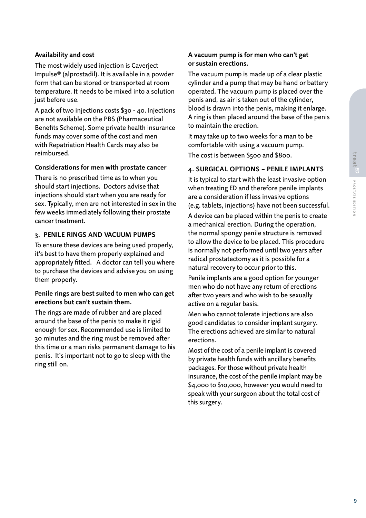# **Availability and cost**

The most widely used injection is Caverject Impulse® (alprostadil). It is available in a powder form that can be stored or transported at room temperature. It needs to be mixed into a solution just before use.

A pack of two injections costs \$30 - 40. Injections are not available on the PBS (Pharmaceutical Benefits Scheme). Some private health insurance funds may cover some of the cost and men with Repatriation Health Cards may also be reimbursed.

# **Considerations for men with prostate cancer**

There is no prescribed time as to when you should start injections. Doctors advise that injections should start when you are ready for sex. Typically, men are not interested in sex in the few weeks immediately following their prostate cancer treatment.

### **3. Penile rings and vacuum pumps**

To ensure these devices are being used properly, it's best to have them properly explained and appropriately fitted. A doctor can tell you where to purchase the devices and advise you on using them properly.

# **Penile rings are best suited to men who can get erections but can't sustain them.**

The rings are made of rubber and are placed around the base of the penis to make it rigid enough for sex. Recommended use is limited to 30 minutes and the ring must be removed after this time or a man risks permanent damage to his penis. It's important not to go to sleep with the ring still on.

# **A vacuum pump is for men who can't get or sustain erections.**

The vacuum pump is made up of a clear plastic cylinder and a pump that may be hand or battery operated. The vacuum pump is placed over the penis and, as air is taken out of the cylinder, blood is drawn into the penis, making it enlarge. A ring is then placed around the base of the penis to maintain the erection.

It may take up to two weeks for a man to be comfortable with using a vacuum pump.

The cost is between \$500 and \$800.

# **4. Surgical options – penile implants**

It is typical to start with the least invasive option when treating ED and therefore penile implants are a consideration if less invasive options (e.g. tablets, injections) have not been successful.

A device can be placed within the penis to create a mechanical erection. During the operation, the normal spongy penile structure is removed to allow the device to be placed. This procedure is normally not performed until two years after radical prostatectomy as it is possible for a natural recovery to occur prior to this.

Penile implants are a good option for younger men who do not have any return of erections after two years and who wish to be sexually active on a regular basis.

Men who cannot tolerate injections are also good candidates to consider implant surgery. The erections achieved are similar to natural erections.

Most of the cost of a penile implant is covered by private health funds with ancillary benefits packages. For those without private health insurance, the cost of the penile implant may be \$4,000 to \$10,000, however you would need to speak with your surgeon about the total cost of this surgery.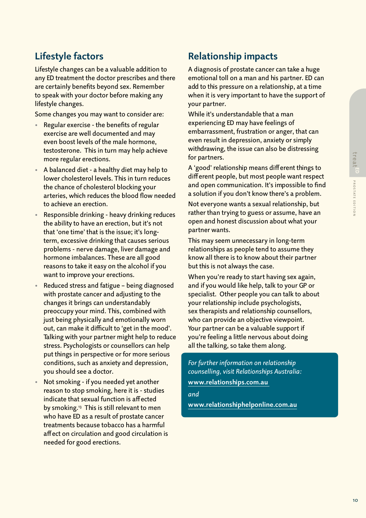# **Lifestyle factors**

Lifestyle changes can be a valuable addition to any ED treatment the doctor prescribes and there are certainly benefits beyond sex. Remember to speak with your doctor before making any lifestyle changes.

Some changes you may want to consider are:

- Regular exercise the benefits of regular exercise are well documented and may even boost levels of the male hormone, testosterone. This in turn may help achieve more regular erections.
- A balanced diet a healthy diet may help to lower cholesterol levels. This in turn reduces the chance of cholesterol blocking your arteries, which reduces the blood flow needed to achieve an erection.
- Responsible drinking heavy drinking reduces the ability to have an erection, but it's not that 'one time' that is the issue; it's longterm, excessive drinking that causes serious problems - nerve damage, liver damage and hormone imbalances. These are all good reasons to take it easy on the alcohol if you want to improve your erections.
- Reduced stress and fatigue being diagnosed with prostate cancer and adjusting to the changes it brings can understandably preoccupy your mind. This, combined with just being physically and emotionally worn out, can make it difficult to 'get in the mood'. Talking with your partner might help to reduce stress. Psychologists or counsellors can help put things in perspective or for more serious conditions, such as anxiety and depression, you should see a doctor.
- Not smoking if you needed yet another reason to stop smoking, here it is - studies indicate that sexual function is affected by smoking.<sup>13</sup> This is still relevant to men who have ED as a result of prostate cancer treatments because tobacco has a harmful affect on circulation and good circulation is needed for good erections.

# **Relationship impacts**

A diagnosis of prostate cancer can take a huge emotional toll on a man and his partner. ED can add to this pressure on a relationship, at a time when it is very important to have the support of your partner.

While it's understandable that a man experiencing ED may have feelings of embarrassment, frustration or anger, that can even result in depression, anxiety or simply withdrawing, the issue can also be distressing for partners.

A 'good' relationship means different things to different people, but most people want respect and open communication. It's impossible to find a solution if you don't know there's a problem.

Not everyone wants a sexual relationship, but rather than trying to guess or assume, have an open and honest discussion about what your partner wants.

This may seem unnecessary in long-term relationships as people tend to assume they know all there is to know about their partner but this is not always the case.

When you're ready to start having sex again, and if you would like help, talk to your GP or specialist. Other people you can talk to about your relationship include psychologists, sex therapists and relationship counsellors, who can provide an objective viewpoint. Your partner can be a valuable support if you're feeling a little nervous about doing all the talking, so take them along.

*For further information on relationship counselling, visit Relationships Australia:*  **www.relationships.com.au** 

*and*  **www.relationshiphelponline.com.au**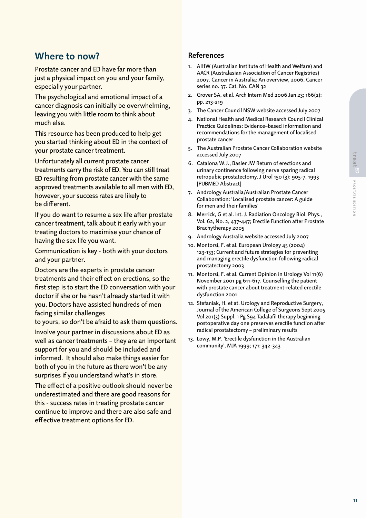# **Where to now?**

Prostate cancer and ED have far more than just a physical impact on you and your family, especially your partner.

The psychological and emotional impact of a cancer diagnosis can initially be overwhelming, leaving you with little room to think about much else.

This resource has been produced to help get you started thinking about ED in the context of your prostate cancer treatment.

Unfortunately all current prostate cancer treatments carry the risk of ED. You can still treat ED resulting from prostate cancer with the same approved treatments available to all men with ED, however, your success rates are likely to be different.

If you do want to resume a sex life after prostate cancer treatment, talk about it early with your treating doctors to maximise your chance of having the sex life you want.

Communication is key - both with your doctors and your partner.

Doctors are the experts in prostate cancer treatments and their effect on erections, so the first step is to start the ED conversation with your doctor if she or he hasn't already started it with you. Doctors have assisted hundreds of men facing similar challenges

to yours, so don't be afraid to ask them questions.

Involve your partner in discussions about ED as well as cancer treatments – they are an important support for you and should be included and informed. It should also make things easier for both of you in the future as there won't be any surprises if you understand what's in store.

The effect of a positive outlook should never be underestimated and there are good reasons for this - success rates in treating prostate cancer continue to improve and there are also safe and effective treatment options for ED.

# **References**

- 1. AIHW (Australian Institute of Health and Welfare) and AACR (Australasian Association of Cancer Registries) 2007. Cancer in Australia: An overview, 2006. Cancer series no. 37. Cat. No. CAN 32
- 2. Grover SA, et al. Arch Intern Med 2006 Jan 23; 166(2): pp. 213-219
- 3. The Cancer Council NSW website accessed July 2007
- 4. National Health and Medical Research Council Clinical Practice Guidelines: Evidence–based information and recommendations for the management of localised prostate cancer
- 5. The Australian Prostate Cancer Collaboration website accessed July 2007
- 6. Catalona W.J., Basler JW Return of erections and urinary continence following nerve sparing radical retropubic prostatectomy. J Urol 150 (3): 905-7, 1993 [PUBMED Abstract]
- 7. Andrology Australia/Australian Prostate Cancer Collaboration: 'Localised prostate cancer: A guide for men and their families'
- 8. Merrick, G et al. Int. J. Radiation Oncology Biol. Phys., Vol. 62, No. 2, 437-447; Erectile Function after Prostate Brachytherapy 2005
- 9. Andrology Australia website accessed July 2007
- 10. Montorsi, F. et al. European Urology 45 (2004) 123-133; Current and future strategies for preventing and managing erectile dysfunction following radical prostatectomy 2003
- 11. Montorsi, F. et al. Current Opinion in Urology Vol 11(6) November 2001 pg 611-617. Counselling the patient with prostate cancer about treatment-related erectile dysfunction 2001
- 12. Stefaniak, H. et at. Urology and Reproductive Surgery, Journal of the American College of Surgeons Sept 2005 Vol 201(3) Suppl. 1 Pg S94 Tadalafil therapy beginning postoperative day one preserves erectile function after radical prostatectomy – preliminary results
- 13. Lowy, M.P. 'Erectile dysfunction in the Australian community', MJA 1999; 171: 342-343